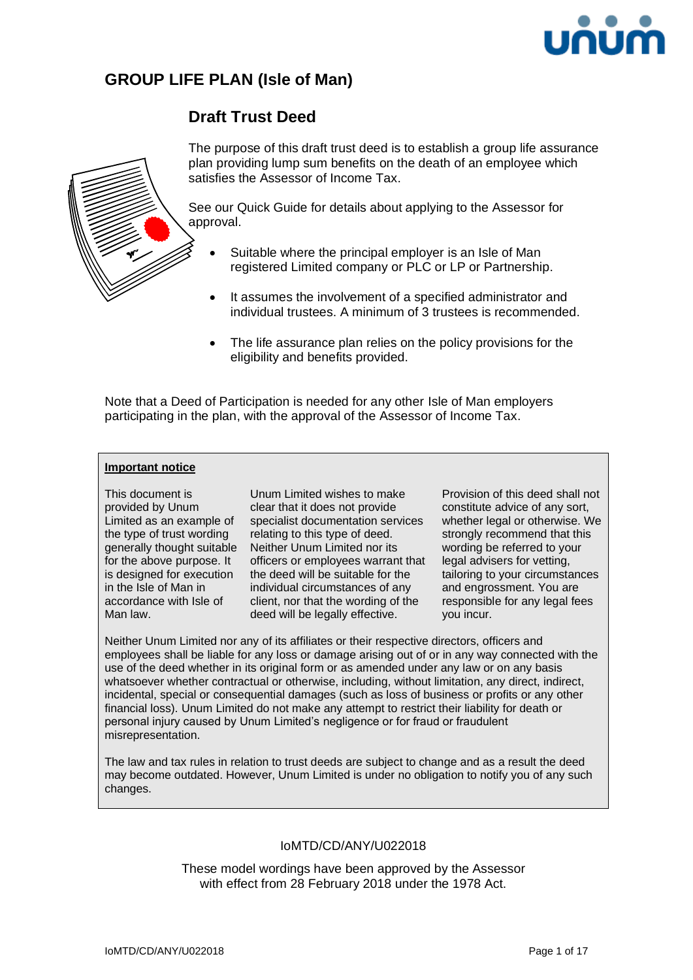

# **GROUP LIFE PLAN (Isle of Man)**

# **Draft Trust Deed**



The purpose of this draft trust deed is to establish a group life assurance plan providing lump sum benefits on the death of an employee which satisfies the Assessor of Income Tax.

See our Quick Guide for details about applying to the Assessor for approval.

- Suitable where the principal employer is an Isle of Man registered Limited company or PLC or LP or Partnership.
- It assumes the involvement of a specified administrator and individual trustees. A minimum of 3 trustees is recommended.
- The life assurance plan relies on the policy provisions for the eligibility and benefits provided.

Note that a Deed of Participation is needed for any other Isle of Man employers participating in the plan, with the approval of the Assessor of Income Tax.

### **Important notice**

This document is provided by Unum Limited as an example of the type of trust wording for the above purpose. It is designed for execution in the Isle of Man in accordance with Isle of Man law.

generally thought suitable Neither Unum Limited nor its Unum Limited wishes to make clear that it does not provide specialist documentation services relating to this type of deed. officers or employees warrant that the deed will be suitable for the individual circumstances of any client, nor that the wording of the deed will be legally effective.

Provision of this deed shall not constitute advice of any sort, whether legal or otherwise. We strongly recommend that this wording be referred to your legal advisers for vetting, tailoring to your circumstances and engrossment. You are responsible for any legal fees you incur.

Neither Unum Limited nor any of its affiliates or their respective directors, officers and employees shall be liable for any loss or damage arising out of or in any way connected with the use of the deed whether in its original form or as amended under any law or on any basis whatsoever whether contractual or otherwise, including, without limitation, any direct, indirect, incidental, special or consequential damages (such as loss of business or profits or any other financial loss). Unum Limited do not make any attempt to restrict their liability for death or personal injury caused by Unum Limited's negligence or for fraud or fraudulent misrepresentation.

The law and tax rules in relation to trust deeds are subject to change and as a result the deed may become outdated. However, Unum Limited is under no obligation to notify you of any such changes.

### IoMTD/CD/ANY/U022018

These model wordings have been approved by the Assessor with effect from 28 February 2018 under the 1978 Act.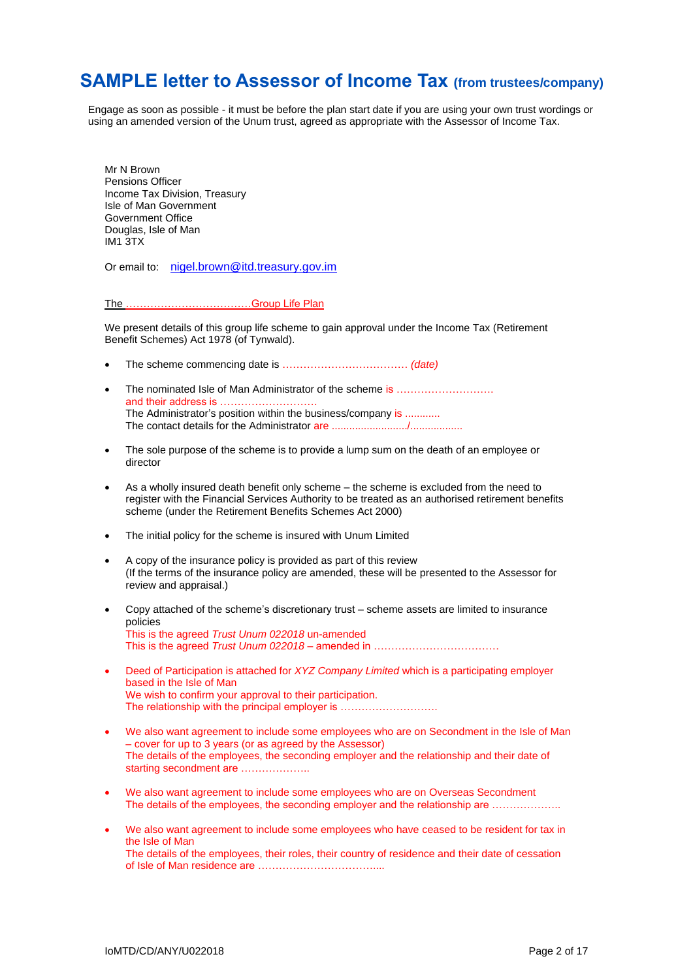# **SAMPLE letter to Assessor of Income Tax (from trustees/company)**

Engage as soon as possible - it must be before the plan start date if you are using your own trust wordings or using an amended version of the Unum trust, agreed as appropriate with the Assessor of Income Tax.

Mr N Brown Pensions Officer Income Tax Division, Treasury Isle of Man Government Government Office Douglas, Isle of Man IM1 3TX

Or email to: [nigel.brown@itd.treasury.gov.im](mailto:nigel.brown@itd.treasury.gov.im)

The ………………………………Group Life Plan

We present details of this group life scheme to gain approval under the Income Tax (Retirement Benefit Schemes) Act 1978 (of Tynwald).

- The scheme commencing date is ……………………………… *(date)*
- The nominated Isle of Man Administrator of the scheme is ........................ and their address is ………………………. The Administrator's position within the business/company is ............ The contact details for the Administrator are ........................../..................
- The sole purpose of the scheme is to provide a lump sum on the death of an employee or director
- As a wholly insured death benefit only scheme the scheme is excluded from the need to register with the Financial Services Authority to be treated as an authorised retirement benefits scheme (under the Retirement Benefits Schemes Act 2000)
- The initial policy for the scheme is insured with Unum Limited
- A copy of the insurance policy is provided as part of this review (If the terms of the insurance policy are amended, these will be presented to the Assessor for review and appraisal.)
- Copy attached of the scheme's discretionary trust scheme assets are limited to insurance policies This is the agreed *Trust Unum 022018* un-amended This is the agreed *Trust Unum 022018* – amended in ………………………………
- Deed of Participation is attached for *XYZ Company Limited* which is a participating employer based in the Isle of Man We wish to confirm your approval to their participation. The relationship with the principal employer is ………………………
- We also want agreement to include some employees who are on Secondment in the Isle of Man – cover for up to 3 years (or as agreed by the Assessor) The details of the employees, the seconding employer and the relationship and their date of starting secondment are .....................
- We also want agreement to include some employees who are on Overseas Secondment The details of the employees, the seconding employer and the relationship are ………………
- We also want agreement to include some employees who have ceased to be resident for tax in the Isle of Man The details of the employees, their roles, their country of residence and their date of cessation of Isle of Man residence are ……………………………....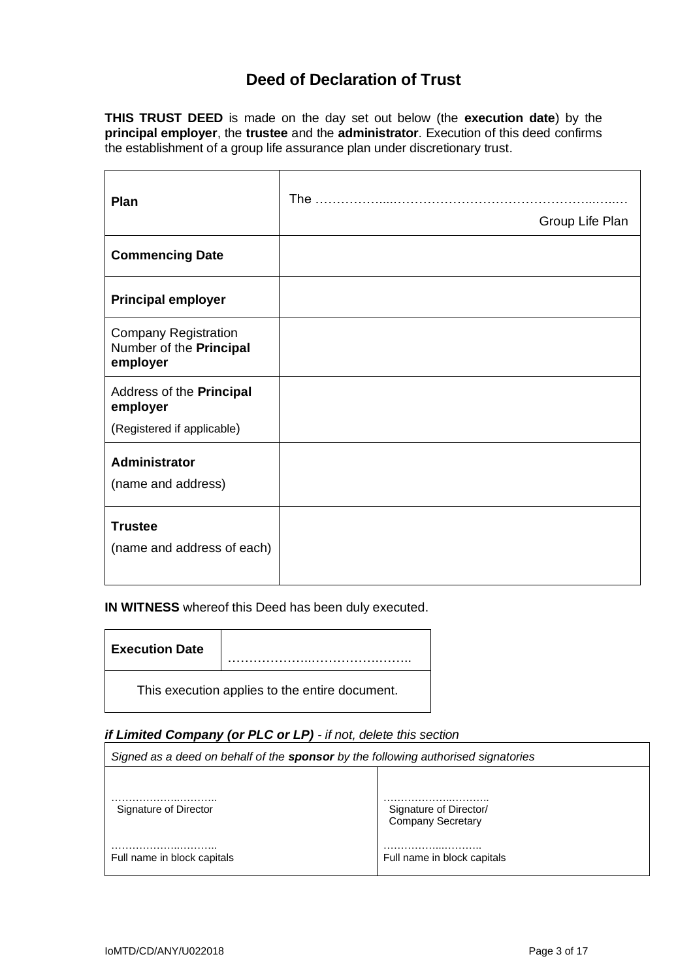# **Deed of Declaration of Trust**

**THIS TRUST DEED** is made on the day set out below (the **execution date**) by the **principal employer**, the **trustee** and the **administrator**. Execution of this deed confirms the establishment of a group life assurance plan under discretionary trust.

| Plan                                                               | The             |  |
|--------------------------------------------------------------------|-----------------|--|
|                                                                    | Group Life Plan |  |
| <b>Commencing Date</b>                                             |                 |  |
| <b>Principal employer</b>                                          |                 |  |
| <b>Company Registration</b><br>Number of the Principal<br>employer |                 |  |
| Address of the Principal<br>employer                               |                 |  |
| (Registered if applicable)                                         |                 |  |
| <b>Administrator</b>                                               |                 |  |
| (name and address)                                                 |                 |  |
| <b>Trustee</b>                                                     |                 |  |
| (name and address of each)                                         |                 |  |
|                                                                    |                 |  |

**IN WITNESS** whereof this Deed has been duly executed.

| <b>Execution Date</b> |                                                |
|-----------------------|------------------------------------------------|
|                       | This execution applies to the entire document. |

## *if Limited Company (or PLC or LP) - if not, delete this section*

| Signed as a deed on behalf of the <b>sponsor</b> by the following authorised signatories |                                                    |  |
|------------------------------------------------------------------------------------------|----------------------------------------------------|--|
|                                                                                          |                                                    |  |
| Signature of Director                                                                    | Signature of Director/<br><b>Company Secretary</b> |  |
| Full name in block capitals                                                              | Full name in block capitals                        |  |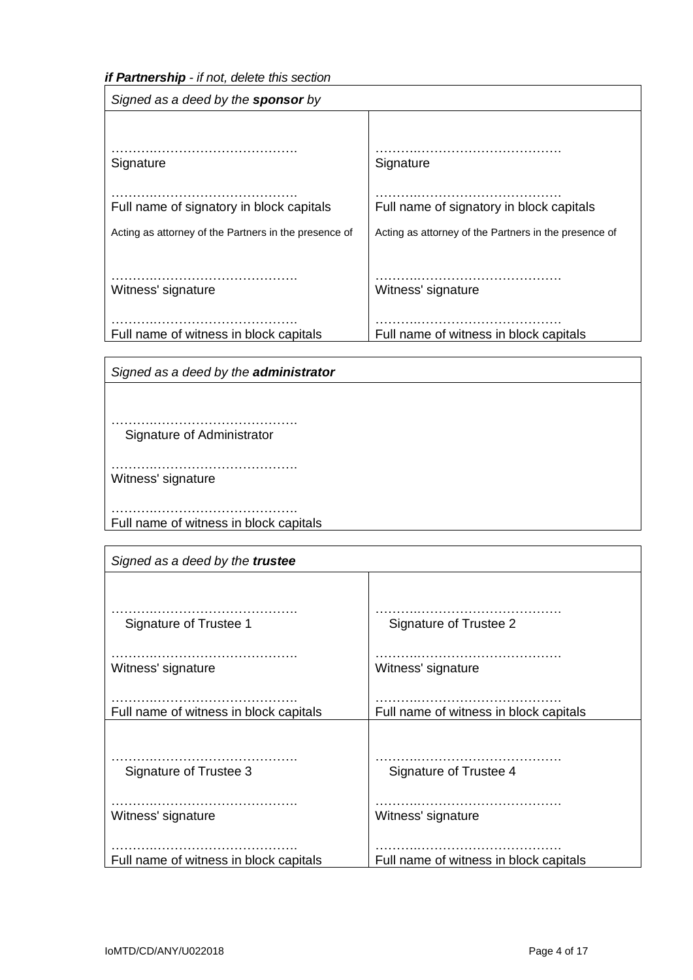*if Partnership - if not, delete this section*

| Signed as a deed by the <b>sponsor</b> by             |                                                       |  |
|-------------------------------------------------------|-------------------------------------------------------|--|
| Signature                                             | Signature                                             |  |
| Full name of signatory in block capitals              | Full name of signatory in block capitals              |  |
| Acting as attorney of the Partners in the presence of | Acting as attorney of the Partners in the presence of |  |
| Witness' signature                                    | Witness' signature                                    |  |
| Full name of witness in block capitals                | Full name of witness in block capitals                |  |

*Signed as a deed by the administrator*

……….……………………………. Signature of Administrator

……….……………………………. Witness' signature

……….……………………………. Full name of witness in block capitals

| Signed as a deed by the trustee        |                                        |  |
|----------------------------------------|----------------------------------------|--|
|                                        |                                        |  |
|                                        |                                        |  |
| Signature of Trustee 1                 | Signature of Trustee 2                 |  |
|                                        |                                        |  |
| Witness' signature                     | Witness' signature                     |  |
|                                        |                                        |  |
| Full name of witness in block capitals | Full name of witness in block capitals |  |
|                                        |                                        |  |
|                                        |                                        |  |
| Signature of Trustee 3                 | Signature of Trustee 4                 |  |
|                                        |                                        |  |
|                                        |                                        |  |
| Witness' signature                     | Witness' signature                     |  |
|                                        |                                        |  |
| Full name of witness in block capitals | Full name of witness in block capitals |  |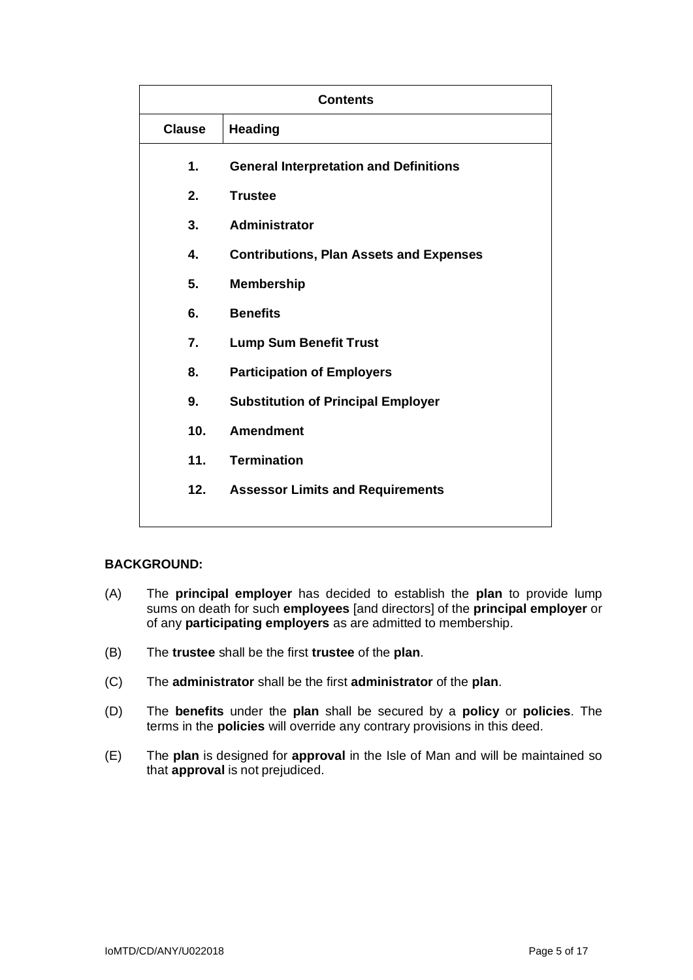| <b>Contents</b> |                                                |  |
|-----------------|------------------------------------------------|--|
| <b>Clause</b>   | <b>Heading</b>                                 |  |
| 1.              | <b>General Interpretation and Definitions</b>  |  |
| 2.              | <b>Trustee</b>                                 |  |
| 3.              | <b>Administrator</b>                           |  |
| 4.              | <b>Contributions, Plan Assets and Expenses</b> |  |
| 5.              | <b>Membership</b>                              |  |
| 6.              | <b>Benefits</b>                                |  |
| 7.              | <b>Lump Sum Benefit Trust</b>                  |  |
| 8.              | <b>Participation of Employers</b>              |  |
| 9.              | <b>Substitution of Principal Employer</b>      |  |
| 10.             | <b>Amendment</b>                               |  |
| 11.             | <b>Termination</b>                             |  |
| 12.             | <b>Assessor Limits and Requirements</b>        |  |
|                 |                                                |  |

# **BACKGROUND:**

- (A) The **principal employer** has decided to establish the **plan** to provide lump sums on death for such **employees** [and directors] of the **principal employer** or of any **participating employers** as are admitted to membership.
- (B) The **trustee** shall be the first **trustee** of the **plan**.
- (C) The **administrator** shall be the first **administrator** of the **plan**.
- (D) The **benefits** under the **plan** shall be secured by a **policy** or **policies**. The terms in the **policies** will override any contrary provisions in this deed.
- (E) The **plan** is designed for **approval** in the Isle of Man and will be maintained so that **approval** is not prejudiced.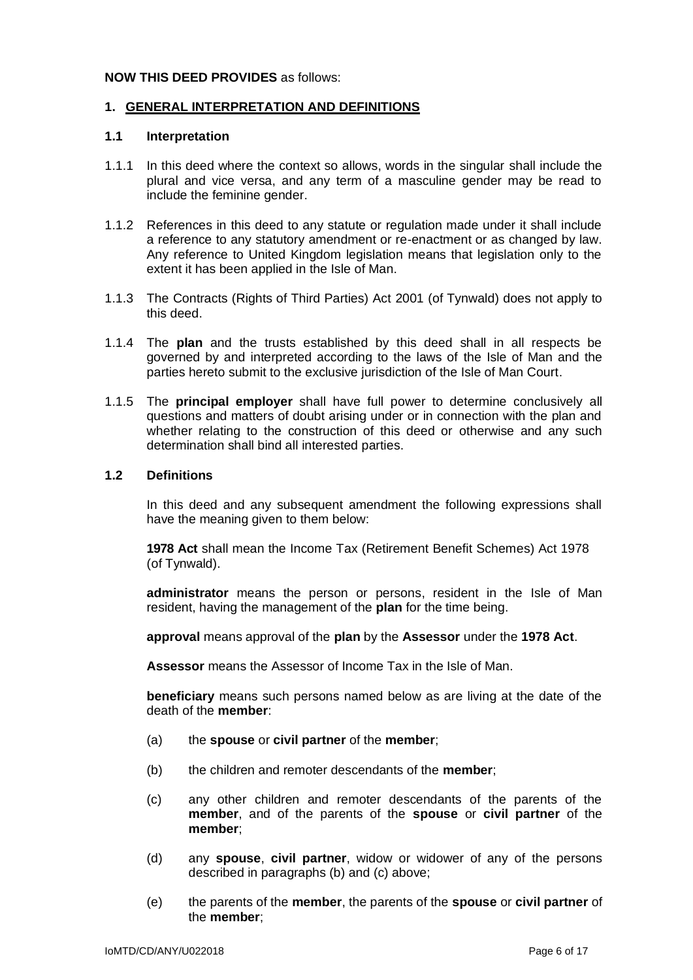### **NOW THIS DEED PROVIDES** as follows:

### **1. GENERAL INTERPRETATION AND DEFINITIONS**

### **1.1 Interpretation**

- 1.1.1 In this deed where the context so allows, words in the singular shall include the plural and vice versa, and any term of a masculine gender may be read to include the feminine gender.
- 1.1.2 References in this deed to any statute or regulation made under it shall include a reference to any statutory amendment or re-enactment or as changed by law. Any reference to United Kingdom legislation means that legislation only to the extent it has been applied in the Isle of Man.
- 1.1.3 The Contracts (Rights of Third Parties) Act 2001 (of Tynwald) does not apply to this deed.
- 1.1.4 The **plan** and the trusts established by this deed shall in all respects be governed by and interpreted according to the laws of the Isle of Man and the parties hereto submit to the exclusive jurisdiction of the Isle of Man Court.
- 1.1.5 The **principal employer** shall have full power to determine conclusively all questions and matters of doubt arising under or in connection with the plan and whether relating to the construction of this deed or otherwise and any such determination shall bind all interested parties.

### **1.2 Definitions**

In this deed and any subsequent amendment the following expressions shall have the meaning given to them below:

**1978 Act** shall mean the Income Tax (Retirement Benefit Schemes) Act 1978 (of Tynwald).

**administrator** means the person or persons, resident in the Isle of Man resident, having the management of the **plan** for the time being.

**approval** means approval of the **plan** by the **Assessor** under the **1978 Act**.

**Assessor** means the Assessor of Income Tax in the Isle of Man.

**beneficiary** means such persons named below as are living at the date of the death of the **member**:

- (a) the **spouse** or **civil partner** of the **member**;
- (b) the children and remoter descendants of the **member**;
- (c) any other children and remoter descendants of the parents of the **member**, and of the parents of the **spouse** or **civil partner** of the **member**;
- (d) any **spouse**, **civil partner**, widow or widower of any of the persons described in paragraphs (b) and (c) above;
- (e) the parents of the **member**, the parents of the **spouse** or **civil partner** of the **member**;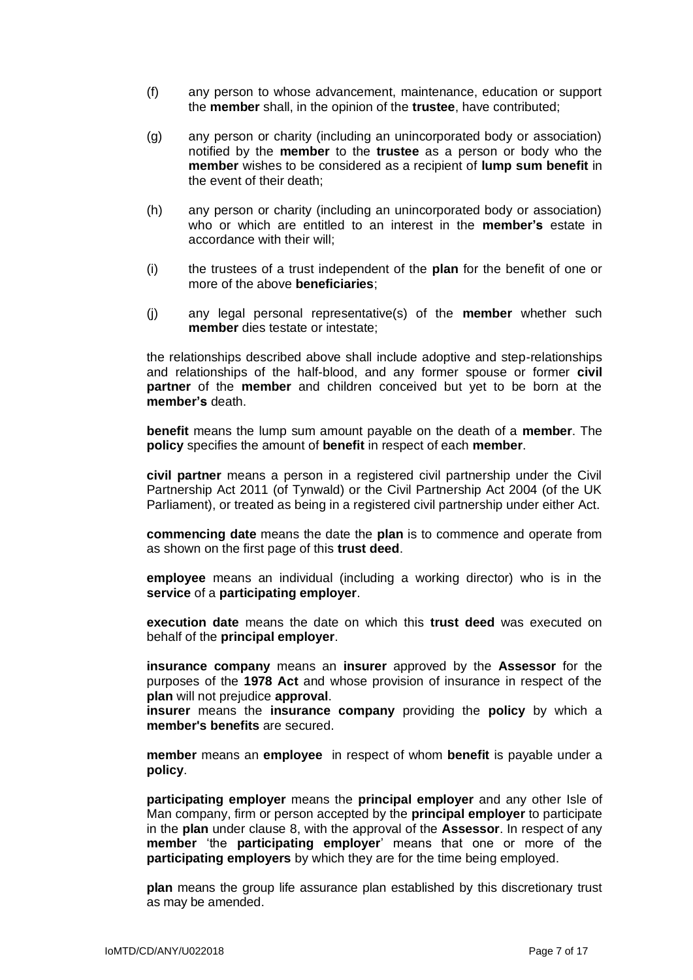- (f) any person to whose advancement, maintenance, education or support the **member** shall, in the opinion of the **trustee**, have contributed;
- (g) any person or charity (including an unincorporated body or association) notified by the **member** to the **trustee** as a person or body who the **member** wishes to be considered as a recipient of **lump sum benefit** in the event of their death;
- (h) any person or charity (including an unincorporated body or association) who or which are entitled to an interest in the **member's** estate in accordance with their will:
- (i) the trustees of a trust independent of the **plan** for the benefit of one or more of the above **beneficiaries**;
- (j) any legal personal representative(s) of the **member** whether such **member** dies testate or intestate;

the relationships described above shall include adoptive and step-relationships and relationships of the half-blood, and any former spouse or former **civil partner** of the **member** and children conceived but yet to be born at the **member's** death.

**benefit** means the lump sum amount payable on the death of a **member**. The **policy** specifies the amount of **benefit** in respect of each **member**.

**civil partner** means a person in a registered civil partnership under the Civil Partnership Act 2011 (of Tynwald) or the Civil Partnership Act 2004 (of the UK Parliament), or treated as being in a registered civil partnership under either Act.

**commencing date** means the date the **plan** is to commence and operate from as shown on the first page of this **trust deed**.

**employee** means an individual (including a working director) who is in the **service** of a **participating employer**.

**execution date** means the date on which this **trust deed** was executed on behalf of the **principal employer**.

**insurance company** means an **insurer** approved by the **Assessor** for the purposes of the **1978 Act** and whose provision of insurance in respect of the **plan** will not prejudice **approval**.

**insurer** means the **insurance company** providing the **policy** by which a **member's benefits** are secured.

**member** means an **employee** in respect of whom **benefit** is payable under a **policy**.

**participating employer** means the **principal employer** and any other Isle of Man company, firm or person accepted by the **principal employer** to participate in the **plan** under clause 8, with the approval of the **Assessor**. In respect of any **member** 'the **participating employer**' means that one or more of the **participating employers** by which they are for the time being employed.

**plan** means the group life assurance plan established by this discretionary trust as may be amended.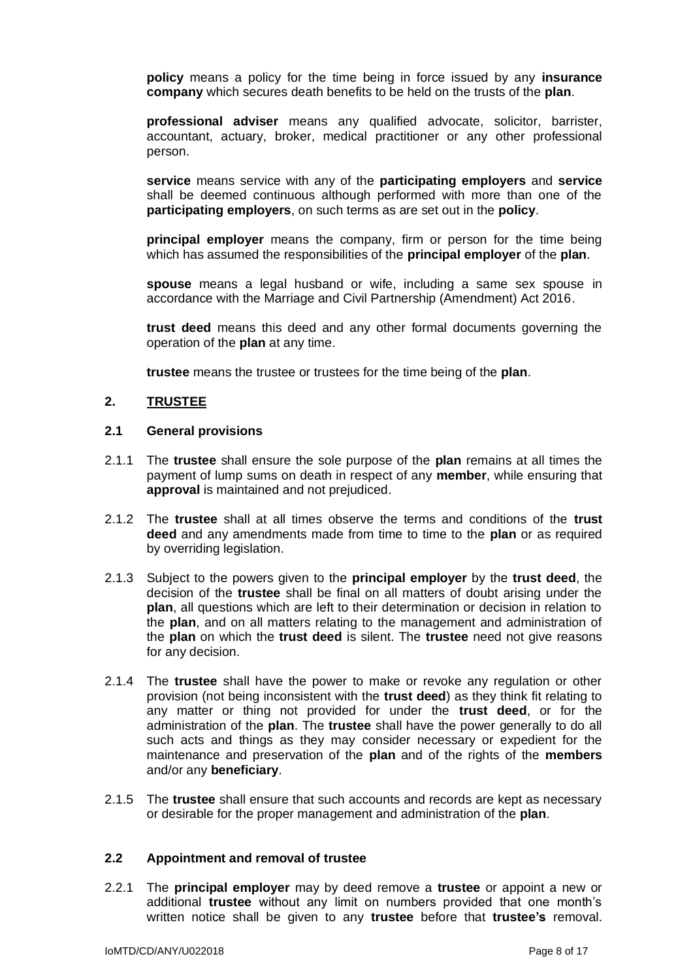**policy** means a policy for the time being in force issued by any **insurance company** which secures death benefits to be held on the trusts of the **plan**.

**professional adviser** means any qualified advocate, solicitor, barrister, accountant, actuary, broker, medical practitioner or any other professional person.

**service** means service with any of the **participating employers** and **service** shall be deemed continuous although performed with more than one of the **participating employers**, on such terms as are set out in the **policy**.

**principal employer** means the company, firm or person for the time being which has assumed the responsibilities of the **principal employer** of the **plan**.

**spouse** means a legal husband or wife, including a same sex spouse in accordance with the Marriage and Civil Partnership (Amendment) Act 2016.

**trust deed** means this deed and any other formal documents governing the operation of the **plan** at any time.

**trustee** means the trustee or trustees for the time being of the **plan**.

## **2. TRUSTEE**

#### **2.1 General provisions**

- 2.1.1 The **trustee** shall ensure the sole purpose of the **plan** remains at all times the payment of lump sums on death in respect of any **member**, while ensuring that **approval** is maintained and not prejudiced.
- 2.1.2 The **trustee** shall at all times observe the terms and conditions of the **trust deed** and any amendments made from time to time to the **plan** or as required by overriding legislation.
- 2.1.3 Subject to the powers given to the **principal employer** by the **trust deed**, the decision of the **trustee** shall be final on all matters of doubt arising under the **plan**, all questions which are left to their determination or decision in relation to the **plan**, and on all matters relating to the management and administration of the **plan** on which the **trust deed** is silent. The **trustee** need not give reasons for any decision.
- 2.1.4 The **trustee** shall have the power to make or revoke any regulation or other provision (not being inconsistent with the **trust deed**) as they think fit relating to any matter or thing not provided for under the **trust deed**, or for the administration of the **plan**. The **trustee** shall have the power generally to do all such acts and things as they may consider necessary or expedient for the maintenance and preservation of the **plan** and of the rights of the **members** and/or any **beneficiary**.
- 2.1.5 The **trustee** shall ensure that such accounts and records are kept as necessary or desirable for the proper management and administration of the **plan**.

### **2.2 Appointment and removal of trustee**

2.2.1 The **principal employer** may by deed remove a **trustee** or appoint a new or additional **trustee** without any limit on numbers provided that one month's written notice shall be given to any **trustee** before that **trustee's** removal.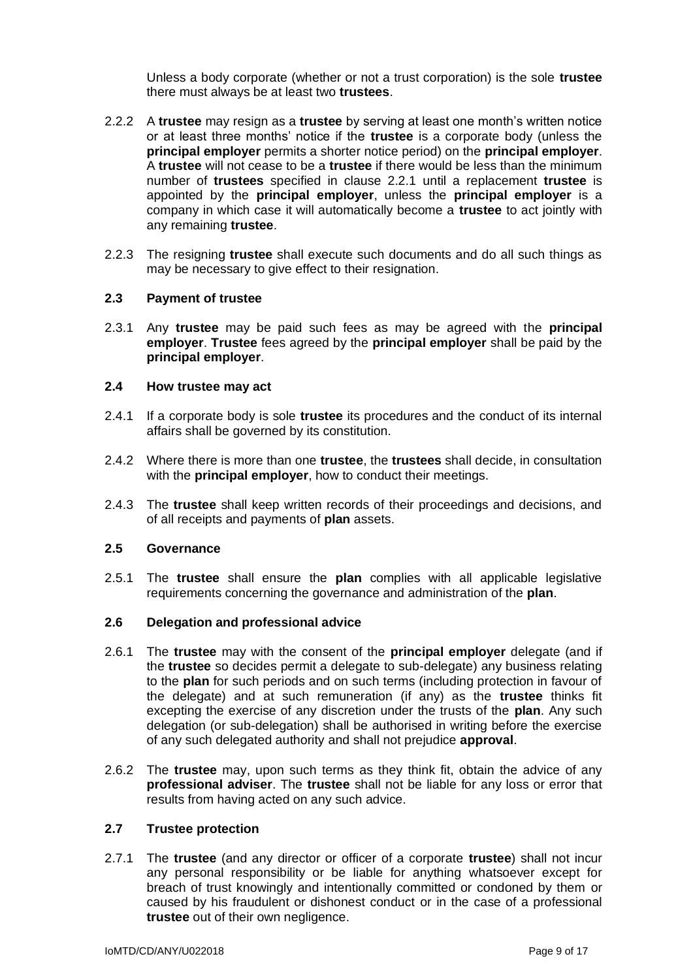Unless a body corporate (whether or not a trust corporation) is the sole **trustee** there must always be at least two **trustees**.

- 2.2.2 A **trustee** may resign as a **trustee** by serving at least one month's written notice or at least three months' notice if the **trustee** is a corporate body (unless the **principal employer** permits a shorter notice period) on the **principal employer**. A **trustee** will not cease to be a **trustee** if there would be less than the minimum number of **trustees** specified in clause 2.2.1 until a replacement **trustee** is appointed by the **principal employer**, unless the **principal employer** is a company in which case it will automatically become a **trustee** to act jointly with any remaining **trustee**.
- 2.2.3 The resigning **trustee** shall execute such documents and do all such things as may be necessary to give effect to their resignation.

### **2.3 Payment of trustee**

2.3.1 Any **trustee** may be paid such fees as may be agreed with the **principal employer**. **Trustee** fees agreed by the **principal employer** shall be paid by the **principal employer**.

#### **2.4 How trustee may act**

- 2.4.1 If a corporate body is sole **trustee** its procedures and the conduct of its internal affairs shall be governed by its constitution.
- 2.4.2 Where there is more than one **trustee**, the **trustees** shall decide, in consultation with the **principal employer**, how to conduct their meetings.
- 2.4.3 The **trustee** shall keep written records of their proceedings and decisions, and of all receipts and payments of **plan** assets.

### **2.5 Governance**

2.5.1 The **trustee** shall ensure the **plan** complies with all applicable legislative requirements concerning the governance and administration of the **plan**.

## **2.6 Delegation and professional advice**

- 2.6.1 The **trustee** may with the consent of the **principal employer** delegate (and if the **trustee** so decides permit a delegate to sub-delegate) any business relating to the **plan** for such periods and on such terms (including protection in favour of the delegate) and at such remuneration (if any) as the **trustee** thinks fit excepting the exercise of any discretion under the trusts of the **plan**. Any such delegation (or sub-delegation) shall be authorised in writing before the exercise of any such delegated authority and shall not prejudice **approval**.
- 2.6.2 The **trustee** may, upon such terms as they think fit, obtain the advice of any **professional adviser**. The **trustee** shall not be liable for any loss or error that results from having acted on any such advice.

### **2.7 Trustee protection**

2.7.1 The **trustee** (and any director or officer of a corporate **trustee**) shall not incur any personal responsibility or be liable for anything whatsoever except for breach of trust knowingly and intentionally committed or condoned by them or caused by his fraudulent or dishonest conduct or in the case of a professional **trustee** out of their own negligence.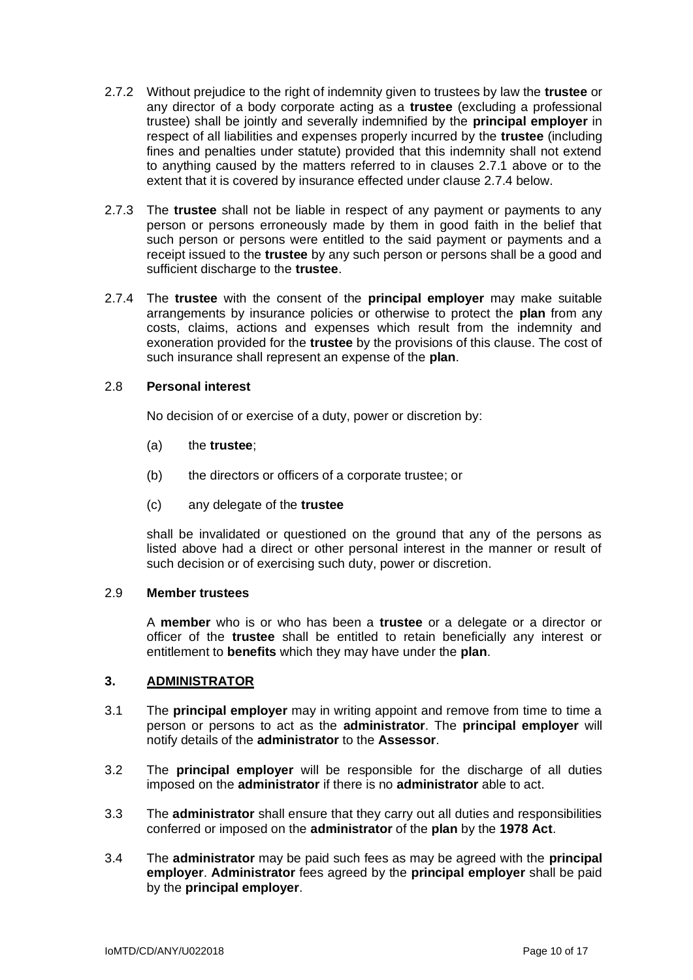- 2.7.2 Without prejudice to the right of indemnity given to trustees by law the **trustee** or any director of a body corporate acting as a **trustee** (excluding a professional trustee) shall be jointly and severally indemnified by the **principal employer** in respect of all liabilities and expenses properly incurred by the **trustee** (including fines and penalties under statute) provided that this indemnity shall not extend to anything caused by the matters referred to in clauses 2.7.1 above or to the extent that it is covered by insurance effected under clause 2.7.4 below.
- 2.7.3 The **trustee** shall not be liable in respect of any payment or payments to any person or persons erroneously made by them in good faith in the belief that such person or persons were entitled to the said payment or payments and a receipt issued to the **trustee** by any such person or persons shall be a good and sufficient discharge to the **trustee**.
- 2.7.4 The **trustee** with the consent of the **principal employer** may make suitable arrangements by insurance policies or otherwise to protect the **plan** from any costs, claims, actions and expenses which result from the indemnity and exoneration provided for the **trustee** by the provisions of this clause. The cost of such insurance shall represent an expense of the **plan**.

### 2.8 **Personal interest**

No decision of or exercise of a duty, power or discretion by:

- (a) the **trustee**;
- (b) the directors or officers of a corporate trustee; or
- (c) any delegate of the **trustee**

shall be invalidated or questioned on the ground that any of the persons as listed above had a direct or other personal interest in the manner or result of such decision or of exercising such duty, power or discretion.

## 2.9 **Member trustees**

A **member** who is or who has been a **trustee** or a delegate or a director or officer of the **trustee** shall be entitled to retain beneficially any interest or entitlement to **benefits** which they may have under the **plan**.

# **3. ADMINISTRATOR**

- 3.1 The **principal employer** may in writing appoint and remove from time to time a person or persons to act as the **administrator**. The **principal employer** will notify details of the **administrator** to the **Assessor**.
- 3.2 The **principal employer** will be responsible for the discharge of all duties imposed on the **administrator** if there is no **administrator** able to act.
- 3.3 The **administrator** shall ensure that they carry out all duties and responsibilities conferred or imposed on the **administrator** of the **plan** by the **1978 Act**.
- 3.4 The **administrator** may be paid such fees as may be agreed with the **principal employer**. **Administrator** fees agreed by the **principal employer** shall be paid by the **principal employer**.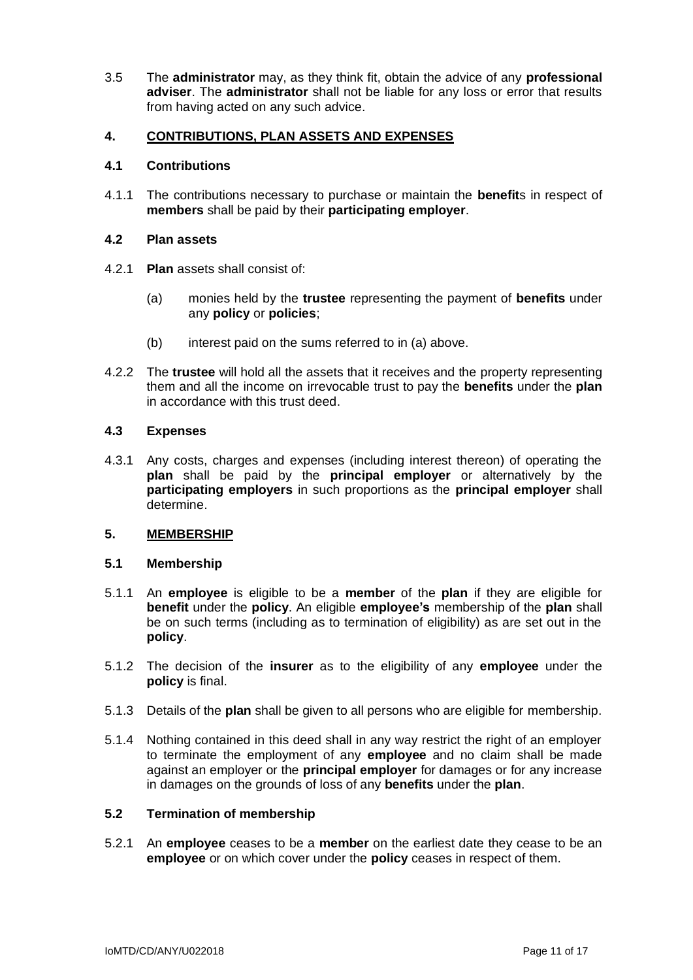3.5 The **administrator** may, as they think fit, obtain the advice of any **professional adviser**. The **administrator** shall not be liable for any loss or error that results from having acted on any such advice.

# **4. CONTRIBUTIONS, PLAN ASSETS AND EXPENSES**

## **4.1 Contributions**

4.1.1 The contributions necessary to purchase or maintain the **benefit**s in respect of **members** shall be paid by their **participating employer**.

## **4.2 Plan assets**

- 4.2.1 **Plan** assets shall consist of:
	- (a) monies held by the **trustee** representing the payment of **benefits** under any **policy** or **policies**;
	- (b) interest paid on the sums referred to in (a) above.
- 4.2.2 The **trustee** will hold all the assets that it receives and the property representing them and all the income on irrevocable trust to pay the **benefits** under the **plan** in accordance with this trust deed.

## **4.3 Expenses**

4.3.1 Any costs, charges and expenses (including interest thereon) of operating the **plan** shall be paid by the **principal employer** or alternatively by the **participating employers** in such proportions as the **principal employer** shall determine.

# **5. MEMBERSHIP**

### **5.1 Membership**

- 5.1.1 An **employee** is eligible to be a **member** of the **plan** if they are eligible for **benefit** under the **policy**. An eligible **employee's** membership of the **plan** shall be on such terms (including as to termination of eligibility) as are set out in the **policy**.
- 5.1.2 The decision of the **insurer** as to the eligibility of any **employee** under the **policy** is final.
- 5.1.3 Details of the **plan** shall be given to all persons who are eligible for membership.
- 5.1.4 Nothing contained in this deed shall in any way restrict the right of an employer to terminate the employment of any **employee** and no claim shall be made against an employer or the **principal employer** for damages or for any increase in damages on the grounds of loss of any **benefits** under the **plan**.

# **5.2 Termination of membership**

5.2.1 An **employee** ceases to be a **member** on the earliest date they cease to be an **employee** or on which cover under the **policy** ceases in respect of them.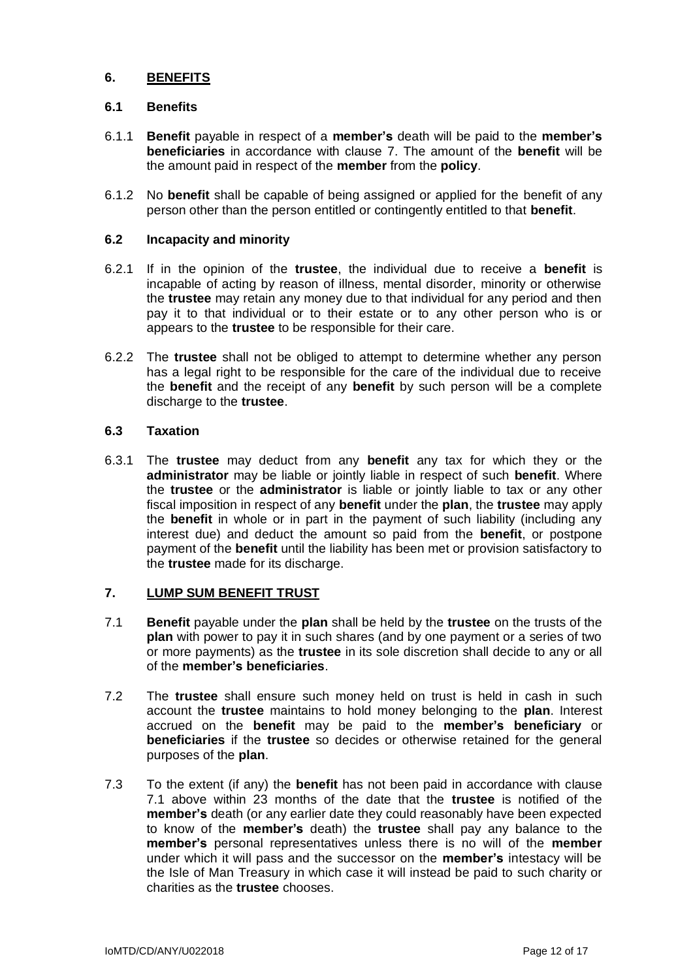# **6. BENEFITS**

## **6.1 Benefits**

- 6.1.1 **Benefit** payable in respect of a **member's** death will be paid to the **member's beneficiaries** in accordance with clause 7. The amount of the **benefit** will be the amount paid in respect of the **member** from the **policy**.
- 6.1.2 No **benefit** shall be capable of being assigned or applied for the benefit of any person other than the person entitled or contingently entitled to that **benefit**.

## **6.2 Incapacity and minority**

- 6.2.1 If in the opinion of the **trustee**, the individual due to receive a **benefit** is incapable of acting by reason of illness, mental disorder, minority or otherwise the **trustee** may retain any money due to that individual for any period and then pay it to that individual or to their estate or to any other person who is or appears to the **trustee** to be responsible for their care.
- 6.2.2 The **trustee** shall not be obliged to attempt to determine whether any person has a legal right to be responsible for the care of the individual due to receive the **benefit** and the receipt of any **benefit** by such person will be a complete discharge to the **trustee**.

## **6.3 Taxation**

6.3.1 The **trustee** may deduct from any **benefit** any tax for which they or the **administrator** may be liable or jointly liable in respect of such **benefit**. Where the **trustee** or the **administrator** is liable or jointly liable to tax or any other fiscal imposition in respect of any **benefit** under the **plan**, the **trustee** may apply the **benefit** in whole or in part in the payment of such liability (including any interest due) and deduct the amount so paid from the **benefit**, or postpone payment of the **benefit** until the liability has been met or provision satisfactory to the **trustee** made for its discharge.

# **7. LUMP SUM BENEFIT TRUST**

- 7.1 **Benefit** payable under the **plan** shall be held by the **trustee** on the trusts of the **plan** with power to pay it in such shares (and by one payment or a series of two or more payments) as the **trustee** in its sole discretion shall decide to any or all of the **member's beneficiaries**.
- 7.2 The **trustee** shall ensure such money held on trust is held in cash in such account the **trustee** maintains to hold money belonging to the **plan**. Interest accrued on the **benefit** may be paid to the **member's beneficiary** or **beneficiaries** if the **trustee** so decides or otherwise retained for the general purposes of the **plan**.
- 7.3 To the extent (if any) the **benefit** has not been paid in accordance with clause 7.1 above within 23 months of the date that the **trustee** is notified of the **member's** death (or any earlier date they could reasonably have been expected to know of the **member's** death) the **trustee** shall pay any balance to the **member's** personal representatives unless there is no will of the **member** under which it will pass and the successor on the **member's** intestacy will be the Isle of Man Treasury in which case it will instead be paid to such charity or charities as the **trustee** chooses.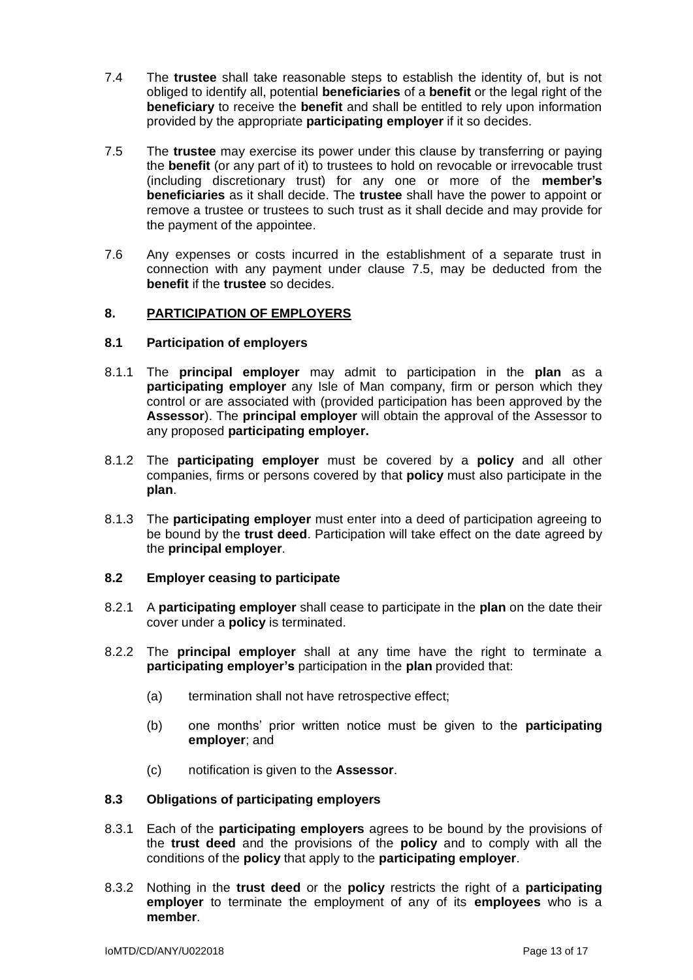- 7.4 The **trustee** shall take reasonable steps to establish the identity of, but is not obliged to identify all, potential **beneficiaries** of a **benefit** or the legal right of the **beneficiary** to receive the **benefit** and shall be entitled to rely upon information provided by the appropriate **participating employer** if it so decides.
- 7.5 The **trustee** may exercise its power under this clause by transferring or paying the **benefit** (or any part of it) to trustees to hold on revocable or irrevocable trust (including discretionary trust) for any one or more of the **member's beneficiaries** as it shall decide. The **trustee** shall have the power to appoint or remove a trustee or trustees to such trust as it shall decide and may provide for the payment of the appointee.
- 7.6 Any expenses or costs incurred in the establishment of a separate trust in connection with any payment under clause 7.5, may be deducted from the **benefit** if the **trustee** so decides.

## **8. PARTICIPATION OF EMPLOYERS**

## **8.1 Participation of employers**

- 8.1.1 The **principal employer** may admit to participation in the **plan** as a **participating employer** any Isle of Man company, firm or person which they control or are associated with (provided participation has been approved by the **Assessor**). The **principal employer** will obtain the approval of the Assessor to any proposed **participating employer.**
- 8.1.2 The **participating employer** must be covered by a **policy** and all other companies, firms or persons covered by that **policy** must also participate in the **plan**.
- 8.1.3 The **participating employer** must enter into a deed of participation agreeing to be bound by the **trust deed**. Participation will take effect on the date agreed by the **principal employer**.

### **8.2 Employer ceasing to participate**

- 8.2.1 A **participating employer** shall cease to participate in the **plan** on the date their cover under a **policy** is terminated.
- 8.2.2 The **principal employer** shall at any time have the right to terminate a **participating employer's** participation in the **plan** provided that:
	- (a) termination shall not have retrospective effect;
	- (b) one months' prior written notice must be given to the **participating employer**; and
	- (c) notification is given to the **Assessor**.

### **8.3 Obligations of participating employers**

- 8.3.1 Each of the **participating employers** agrees to be bound by the provisions of the **trust deed** and the provisions of the **policy** and to comply with all the conditions of the **policy** that apply to the **participating employer**.
- 8.3.2 Nothing in the **trust deed** or the **policy** restricts the right of a **participating employer** to terminate the employment of any of its **employees** who is a **member**.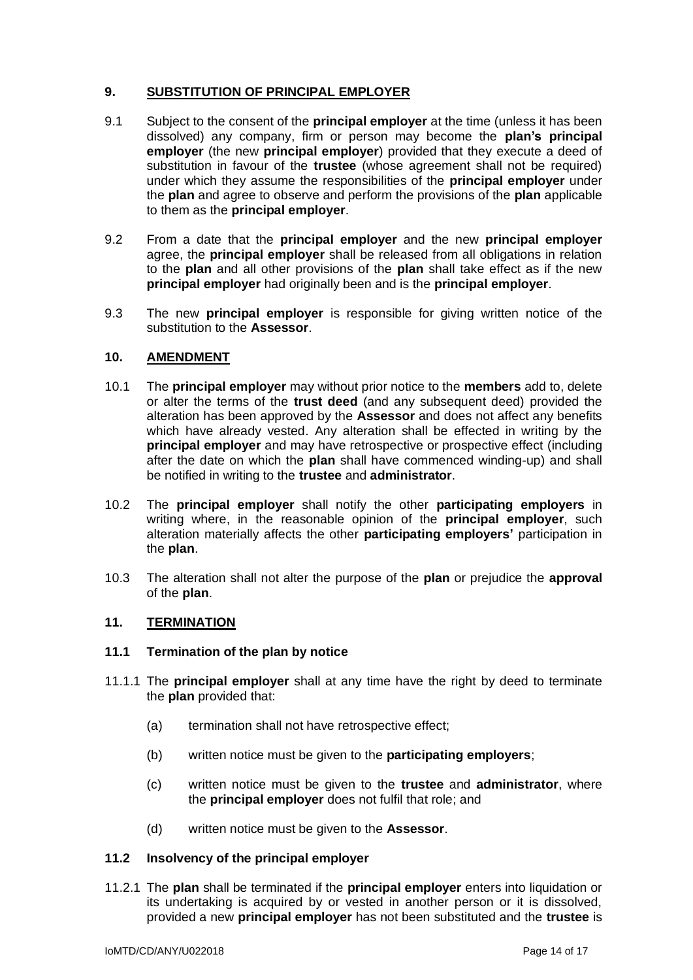# **9. SUBSTITUTION OF PRINCIPAL EMPLOYER**

- 9.1 Subject to the consent of the **principal employer** at the time (unless it has been dissolved) any company, firm or person may become the **plan's principal employer** (the new **principal employer**) provided that they execute a deed of substitution in favour of the **trustee** (whose agreement shall not be required) under which they assume the responsibilities of the **principal employer** under the **plan** and agree to observe and perform the provisions of the **plan** applicable to them as the **principal employer**.
- 9.2 From a date that the **principal employer** and the new **principal employer** agree, the **principal employer** shall be released from all obligations in relation to the **plan** and all other provisions of the **plan** shall take effect as if the new **principal employer** had originally been and is the **principal employer**.
- 9.3 The new **principal employer** is responsible for giving written notice of the substitution to the **Assessor**.

# **10. AMENDMENT**

- 10.1 The **principal employer** may without prior notice to the **members** add to, delete or alter the terms of the **trust deed** (and any subsequent deed) provided the alteration has been approved by the **Assessor** and does not affect any benefits which have already vested. Any alteration shall be effected in writing by the **principal employer** and may have retrospective or prospective effect (including after the date on which the **plan** shall have commenced winding-up) and shall be notified in writing to the **trustee** and **administrator**.
- 10.2 The **principal employer** shall notify the other **participating employers** in writing where, in the reasonable opinion of the **principal employer**, such alteration materially affects the other **participating employers'** participation in the **plan**.
- 10.3 The alteration shall not alter the purpose of the **plan** or prejudice the **approval** of the **plan**.

# **11. TERMINATION**

# **11.1 Termination of the plan by notice**

- 11.1.1 The **principal employer** shall at any time have the right by deed to terminate the **plan** provided that:
	- (a) termination shall not have retrospective effect;
	- (b) written notice must be given to the **participating employers**;
	- (c) written notice must be given to the **trustee** and **administrator**, where the **principal employer** does not fulfil that role; and
	- (d) written notice must be given to the **Assessor**.

### **11.2 Insolvency of the principal employer**

11.2.1 The **plan** shall be terminated if the **principal employer** enters into liquidation or its undertaking is acquired by or vested in another person or it is dissolved, provided a new **principal employer** has not been substituted and the **trustee** is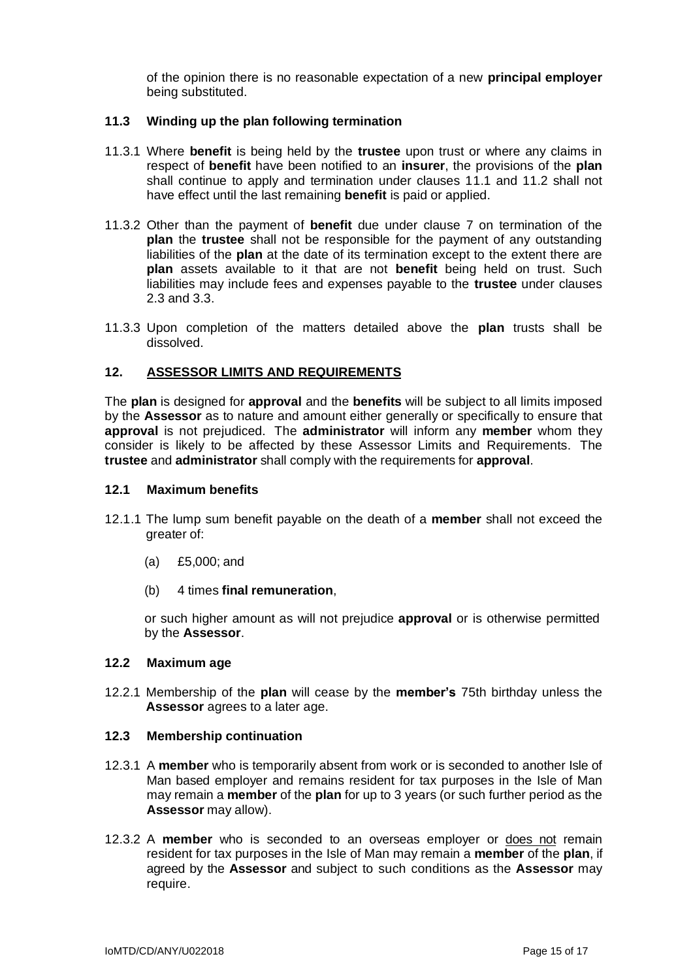of the opinion there is no reasonable expectation of a new **principal employer** being substituted.

### **11.3 Winding up the plan following termination**

- 11.3.1 Where **benefit** is being held by the **trustee** upon trust or where any claims in respect of **benefit** have been notified to an **insurer**, the provisions of the **plan** shall continue to apply and termination under clauses 11.1 and 11.2 shall not have effect until the last remaining **benefit** is paid or applied.
- 11.3.2 Other than the payment of **benefit** due under clause 7 on termination of the **plan** the **trustee** shall not be responsible for the payment of any outstanding liabilities of the **plan** at the date of its termination except to the extent there are **plan** assets available to it that are not **benefit** being held on trust. Such liabilities may include fees and expenses payable to the **trustee** under clauses 2.3 and 3.3.
- 11.3.3 Upon completion of the matters detailed above the **plan** trusts shall be dissolved.

## **12. ASSESSOR LIMITS AND REQUIREMENTS**

The **plan** is designed for **approval** and the **benefits** will be subject to all limits imposed by the **Assessor** as to nature and amount either generally or specifically to ensure that **approval** is not prejudiced. The **administrator** will inform any **member** whom they consider is likely to be affected by these Assessor Limits and Requirements. The **trustee** and **administrator** shall comply with the requirements for **approval**.

### **12.1 Maximum benefits**

- 12.1.1 The lump sum benefit payable on the death of a **member** shall not exceed the greater of:
	- (a) £5,000; and
	- (b) 4 times **final remuneration**,

or such higher amount as will not prejudice **approval** or is otherwise permitted by the **Assessor**.

# **12.2 Maximum age**

12.2.1 Membership of the **plan** will cease by the **member's** 75th birthday unless the **Assessor** agrees to a later age.

### **12.3 Membership continuation**

- 12.3.1 A **member** who is temporarily absent from work or is seconded to another Isle of Man based employer and remains resident for tax purposes in the Isle of Man may remain a **member** of the **plan** for up to 3 years (or such further period as the **Assessor** may allow).
- 12.3.2 A **member** who is seconded to an overseas employer or does not remain resident for tax purposes in the Isle of Man may remain a **member** of the **plan**, if agreed by the **Assessor** and subject to such conditions as the **Assessor** may require.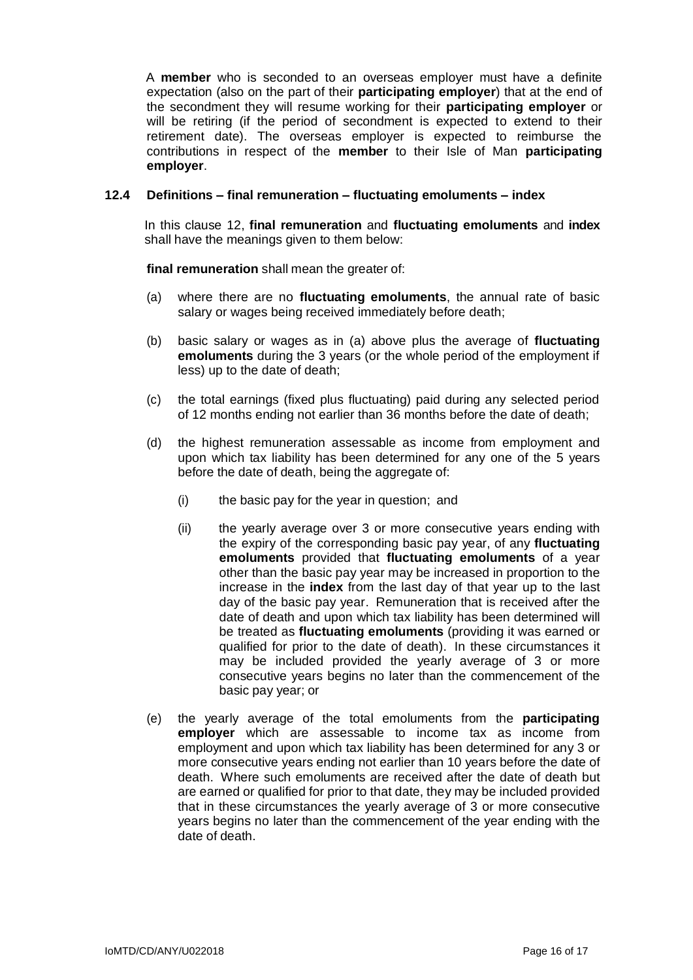A **member** who is seconded to an overseas employer must have a definite expectation (also on the part of their **participating employer**) that at the end of the secondment they will resume working for their **participating employer** or will be retiring (if the period of secondment is expected to extend to their retirement date). The overseas employer is expected to reimburse the contributions in respect of the **member** to their Isle of Man **participating employer**.

### **12.4 Definitions – final remuneration – fluctuating emoluments – index**

In this clause 12, **final remuneration** and **fluctuating emoluments** and **index** shall have the meanings given to them below:

**final remuneration** shall mean the greater of:

- (a) where there are no **fluctuating emoluments**, the annual rate of basic salary or wages being received immediately before death;
- (b) basic salary or wages as in (a) above plus the average of **fluctuating emoluments** during the 3 years (or the whole period of the employment if less) up to the date of death;
- (c) the total earnings (fixed plus fluctuating) paid during any selected period of 12 months ending not earlier than 36 months before the date of death;
- (d) the highest remuneration assessable as income from employment and upon which tax liability has been determined for any one of the 5 years before the date of death, being the aggregate of:
	- (i) the basic pay for the year in question; and
	- (ii) the yearly average over 3 or more consecutive years ending with the expiry of the corresponding basic pay year, of any **fluctuating emoluments** provided that **fluctuating emoluments** of a year other than the basic pay year may be increased in proportion to the increase in the **index** from the last day of that year up to the last day of the basic pay year. Remuneration that is received after the date of death and upon which tax liability has been determined will be treated as **fluctuating emoluments** (providing it was earned or qualified for prior to the date of death). In these circumstances it may be included provided the yearly average of 3 or more consecutive years begins no later than the commencement of the basic pay year; or
- (e) the yearly average of the total emoluments from the **participating employer** which are assessable to income tax as income from employment and upon which tax liability has been determined for any 3 or more consecutive years ending not earlier than 10 years before the date of death. Where such emoluments are received after the date of death but are earned or qualified for prior to that date, they may be included provided that in these circumstances the yearly average of 3 or more consecutive years begins no later than the commencement of the year ending with the date of death.